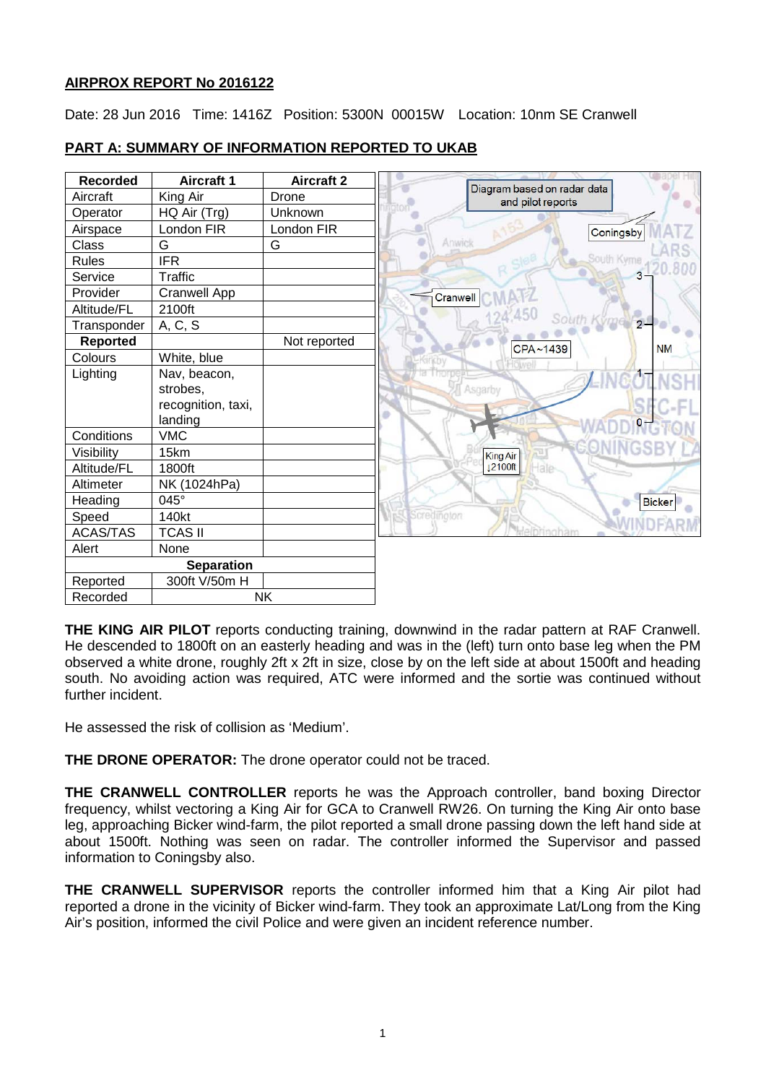# **AIRPROX REPORT No 2016122**

Date: 28 Jun 2016 Time: 1416Z Position: 5300N 00015W Location: 10nm SE Cranwell

# **PART A: SUMMARY OF INFORMATION REPORTED TO UKAB**

| <b>Recorded</b>   | <b>Aircraft 1</b>   | <b>Aircraft 2</b> |                                                  |
|-------------------|---------------------|-------------------|--------------------------------------------------|
| Aircraft          | King Air            | Drone             | Diagram based on radar data<br>and pilot reports |
| Operator          | HQ Air (Trg)        | Unknown           |                                                  |
| Airspace          | London FIR          | London FIR        | Coningsby                                        |
| Class             | G                   | G                 | Anwick                                           |
| <b>Rules</b>      | <b>IFR</b>          |                   | South Kyme                                       |
| Service           | <b>Traffic</b>      |                   |                                                  |
| Provider          | <b>Cranwell App</b> |                   | Cranwell                                         |
| Altitude/FL       | 2100ft              |                   |                                                  |
| Transponder       | A, C, S             |                   | South                                            |
| <b>Reported</b>   |                     | Not reported      | CPA~1439                                         |
| Colours           | White, blue         |                   | <b>Jue</b>                                       |
| Lighting          | Nav, beacon,        |                   |                                                  |
|                   | strobes,            |                   | Asgarby                                          |
|                   | recognition, taxi,  |                   |                                                  |
|                   | landing             |                   |                                                  |
| Conditions        | <b>VMC</b>          |                   |                                                  |
| Visibility        | 15km                |                   | King Air                                         |
| Altitude/FL       | 1800ft              |                   | 12100ft                                          |
| Altimeter         | NK (1024hPa)        |                   |                                                  |
| Heading           | 045°                |                   |                                                  |
| Speed             | 140kt               |                   | <b>Scredington</b>                               |
| <b>ACAS/TAS</b>   | <b>TCAS II</b>      |                   |                                                  |
| Alert             | None                |                   |                                                  |
| <b>Separation</b> |                     |                   |                                                  |
| Reported          | 300ft V/50m H       |                   |                                                  |
| Recorded          |                     | <b>NK</b>         |                                                  |

**THE KING AIR PILOT** reports conducting training, downwind in the radar pattern at RAF Cranwell. He descended to 1800ft on an easterly heading and was in the (left) turn onto base leg when the PM observed a white drone, roughly 2ft x 2ft in size, close by on the left side at about 1500ft and heading south. No avoiding action was required, ATC were informed and the sortie was continued without further incident.

He assessed the risk of collision as 'Medium'.

**THE DRONE OPERATOR:** The drone operator could not be traced.

**THE CRANWELL CONTROLLER** reports he was the Approach controller, band boxing Director frequency, whilst vectoring a King Air for GCA to Cranwell RW26. On turning the King Air onto base leg, approaching Bicker wind-farm, the pilot reported a small drone passing down the left hand side at about 1500ft. Nothing was seen on radar. The controller informed the Supervisor and passed information to Coningsby also.

**THE CRANWELL SUPERVISOR** reports the controller informed him that a King Air pilot had reported a drone in the vicinity of Bicker wind-farm. They took an approximate Lat/Long from the King Air's position, informed the civil Police and were given an incident reference number.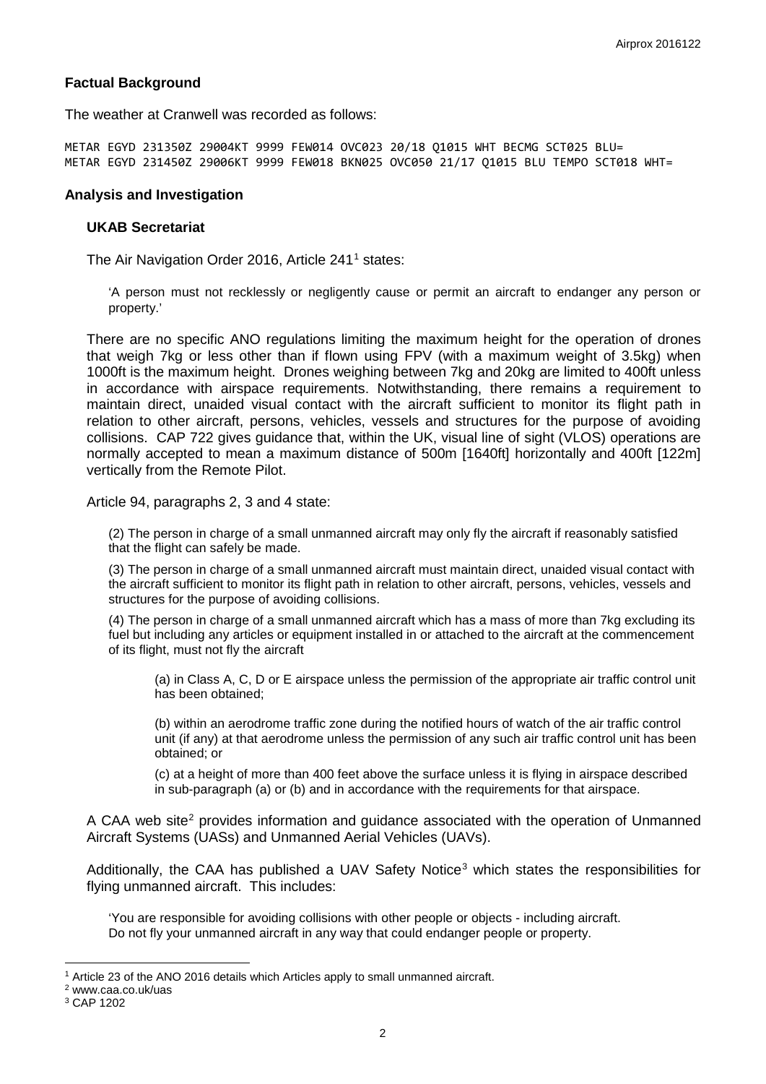#### **Factual Background**

The weather at Cranwell was recorded as follows:

METAR EGYD 231350Z 29004KT 9999 FEW014 OVC023 20/18 Q1015 WHT BECMG SCT025 BLU= METAR EGYD 231450Z 29006KT 9999 FEW018 BKN025 OVC050 21/17 Q1015 BLU TEMPO SCT018 WHT=

#### **Analysis and Investigation**

#### **UKAB Secretariat**

The Air Navigation Order 20[1](#page-1-0)6, Article 241<sup>1</sup> states:

'A person must not recklessly or negligently cause or permit an aircraft to endanger any person or property.'

There are no specific ANO regulations limiting the maximum height for the operation of drones that weigh 7kg or less other than if flown using FPV (with a maximum weight of 3.5kg) when 1000ft is the maximum height. Drones weighing between 7kg and 20kg are limited to 400ft unless in accordance with airspace requirements. Notwithstanding, there remains a requirement to maintain direct, unaided visual contact with the aircraft sufficient to monitor its flight path in relation to other aircraft, persons, vehicles, vessels and structures for the purpose of avoiding collisions. CAP 722 gives guidance that, within the UK, visual line of sight (VLOS) operations are normally accepted to mean a maximum distance of 500m [1640ft] horizontally and 400ft [122m] vertically from the Remote Pilot.

Article 94, paragraphs 2, 3 and 4 state:

(2) The person in charge of a small unmanned aircraft may only fly the aircraft if reasonably satisfied that the flight can safely be made.

(3) The person in charge of a small unmanned aircraft must maintain direct, unaided visual contact with the aircraft sufficient to monitor its flight path in relation to other aircraft, persons, vehicles, vessels and structures for the purpose of avoiding collisions.

(4) The person in charge of a small unmanned aircraft which has a mass of more than 7kg excluding its fuel but including any articles or equipment installed in or attached to the aircraft at the commencement of its flight, must not fly the aircraft

(a) in Class A, C, D or E airspace unless the permission of the appropriate air traffic control unit has been obtained;

(b) within an aerodrome traffic zone during the notified hours of watch of the air traffic control unit (if any) at that aerodrome unless the permission of any such air traffic control unit has been obtained; or

(c) at a height of more than 400 feet above the surface unless it is flying in airspace described in sub-paragraph (a) or (b) and in accordance with the requirements for that airspace.

A CAA web site<sup>[2](#page-1-1)</sup> provides information and guidance associated with the operation of Unmanned Aircraft Systems (UASs) and Unmanned Aerial Vehicles (UAVs).

Additionally, the CAA has published a UAV Safety Notice<sup>[3](#page-1-2)</sup> which states the responsibilities for flying unmanned aircraft. This includes:

'You are responsible for avoiding collisions with other people or objects - including aircraft. Do not fly your unmanned aircraft in any way that could endanger people or property.

 $\overline{\phantom{a}}$ 

<span id="page-1-0"></span><sup>&</sup>lt;sup>1</sup> Article 23 of the ANO 2016 details which Articles apply to small unmanned aircraft.

<span id="page-1-1"></span><sup>2</sup> www.caa.co.uk/uas

<span id="page-1-2"></span><sup>3</sup> CAP 1202